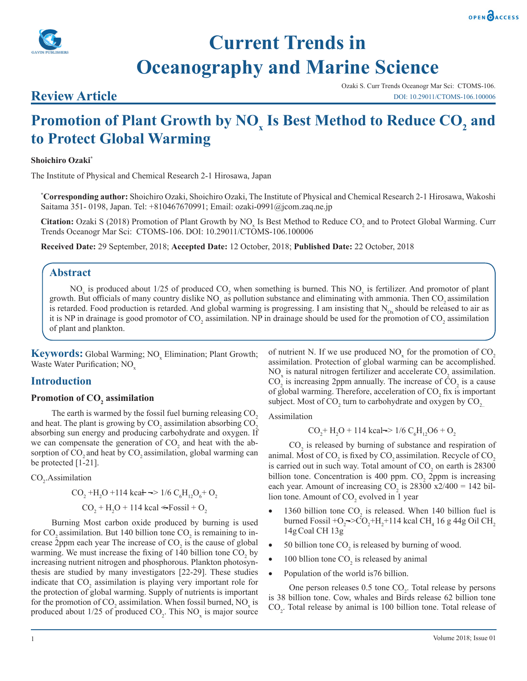



# **Current Trends in Oceanography and Marine Science**

# **Review Article**

Ozaki S. Curr Trends Oceanogr Mar Sci: CTOMS-106. DOI: 10.29011/CTOMS-106.100006

# Promotion of Plant Growth by NO<sub>x</sub> Is Best Method to Reduce CO<sub>2</sub> and **to Protect Global Warming**

#### **Shoichiro Ozaki\***

The Institute of Physical and Chemical Research 2-1 Hirosawa, Japan

**\* Corresponding author:** Shoichiro Ozaki, Shoichiro Ozaki, The Institute of Physical and Chemical Research 2-1 Hirosawa, Wakoshi Saitama 351- 0198, Japan. Tel: +810467670991; Email: ozaki-0991@jcom.zaq.ne.jp

Citation: Ozaki S (2018) Promotion of Plant Growth by NO<sub>x</sub> Is Best Method to Reduce CO<sub>2</sub> and to Protect Global Warming. Curr Trends Oceanogr Mar Sci: CTOMS-106. DOI: 10.29011/CTOMS-106.100006

**Received Date:** 29 September, 2018; **Accepted Date:** 12 October, 2018; **Published Date:** 22 October, 2018

## **Abstract**

 $NO<sub>x</sub>$  is produced about 1/25 of produced  $CO<sub>2</sub>$  when something is burned. This  $NO<sub>x</sub>$  is fertilizer. And promotor of plant growth. But officials of many country dislike  $NO<sub>x</sub>$  as pollution substance and eliminating with ammonia. Then  $CO<sub>2</sub>$  assimilation is retarded. Food production is retarded. And global warming is progressing. I am insisting that  $N_{ox}$  should be released to air as it is NP in drainage is good promotor of  $CO_2$  assimilation. NP in drainage should be used for the promotion of  $CO_2$  assimilation of plant and plankton.

**Keywords:** Global Warming; NO<sub>x</sub> Elimination; Plant Growth; Waste Water Purification; NO<sub>y</sub>

# **Introduction**

# Promotion of CO<sub>2</sub> assimilation

The earth is warmed by the fossil fuel burning releasing CO<sub>2</sub> and heat. The plant is growing by  $\mathrm{CO}_2$  assimilation absorbing  $\mathrm{CO}_2$ absorbing sun energy and producing carbohydrate and oxygen. If we can compensate the generation of  $CO<sub>2</sub>$  and heat with the absorption of CO<sub>2</sub> and heat by CO<sub>2</sub> assimilation, global warming can be protected [1-21].

$$
CO_2.Assimilation
$$

$$
CO_2 + H_2O + 114 \text{ kcal} \rightarrow 1/6 \text{ C}_6H_{12}O_6 + O_2
$$
  

$$
CO_2 + H_2O + 114 \text{ kcal} \le F \cdot \text{O}\cdot \text{J} + O_2
$$

Burning Most carbon oxide produced by burning is used for  $CO_2$  assimilation. But 140 billion tone  $CO_2$  is remaining to increase 2ppm each year The increase of  $CO<sub>2</sub>$  is the cause of global warming. We must increase the fixing of  $140$  billion tone  $CO<sub>2</sub>$  by increasing nutrient nitrogen and phosphorous. Plankton photosynthesis are studied by many investigators [22-29]. These studies indicate that  $CO_2$  assimilation is playing very important role for the protection of global warming. Supply of nutrients is important for the promotion of  $CO_2$  assimilation. When fossil burned,  $NO_x$  is produced about  $1/25$  of produced  $CO_2$ . This  $NO_x$  is major source of nutrient N. If we use produced  $NO<sub>x</sub>$  for the promotion of  $CO<sub>2</sub>$ assimilation. Protection of global warming can be accomplished. NO<sub>x</sub> is natural nitrogen fertilizer and accelerate  $CO_2$  assimilation.  $CO<sub>2</sub>$  is increasing 2ppm annually. The increase of  $CO<sub>2</sub>$  is a cause of global warming. Therefore, acceleration of  $CO<sub>2</sub>$  fix is important subject. Most of  $CO_2$  turn to carbohydrate and oxygen by  $CO_{2}$ .

Assimilation

$$
CO_2 + H_2O + 114 \text{ kcal} \rightarrow 1/6 \text{ C}_6H_{12}O6 + O_2
$$

 $CO<sub>2</sub>$  is released by burning of substance and respiration of animal. Most of  $CO_2$  is fixed by  $CO_2$  assimilation. Recycle of  $CO_2$ is carried out in such way. Total amount of  $CO<sub>2</sub>$  on earth is 28300 billion tone. Concentration is 400 ppm.  $CO<sub>2</sub>$  2ppm is increasing each year. Amount of increasing  $CO_2$  is 28300 x2/400 = 142 billion tone. Amount of  $CO_2$  evolved in 1 year

- 1360 billion tone  $CO_2$  is released. When 140 billion fuel is burned Fossil +O<sub>2</sub>=>CO<sub>2</sub>+H<sub>2</sub>+114 kcal CH<sub>4</sub> 16 g 44g Oil CH<sub>2</sub> 14gCoal CH 13g
- 50 billion tone  $CO_2$  is released by burning of wood.
- 100 bllion tone  $CO_2$  is released by animal
- Population of the world is 76 billion.

One person releases  $0.5$  tone  $CO<sub>2</sub>$ . Total release by persons is 38 billion tone. Cow, whales and Birds release 62 billion tone  $CO<sub>2</sub>$ . Total release by animal is 100 billion tone. Total release of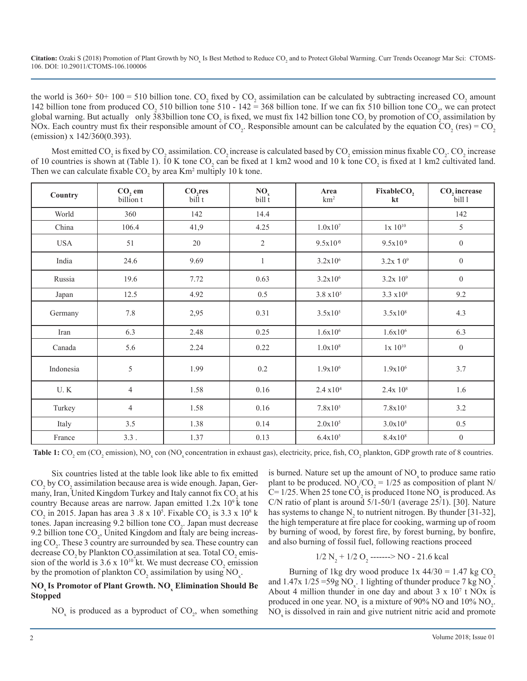Citation: Ozaki S (2018) Promotion of Plant Growth by NO<sub>x</sub> Is Best Method to Reduce CO<sub>2</sub> and to Protect Global Warming. Curr Trends Oceanogr Mar Sci: CTOMS-106. DOI: 10.29011/CTOMS-106.100006

the world is  $360+50+100 = 510$  billion tone. CO<sub>2</sub> fixed by CO<sub>2</sub> assimilation can be calculated by subtracting increased CO<sub>2</sub> amount 142 billion tone from produced CO<sub>2</sub> 510 billion tone 510 - 142 = 368 billion tone. If we can fix 510 billion tone CO<sub>2</sub>, we can protect global warning. But actually only 383billion tone CO<sub>2</sub> is fixed, we must fix 142 billion tone CO<sub>2</sub> by promotion of CO<sub>2</sub> assimilation by NOx. Each country must fix their responsible amount of CO<sub>2</sub>. Responsible amount can be calculated by the equation CO<sub>2</sub> (res) = CO<sub>2</sub> (emission) x 142/360(0.393).

Most emitted CO<sub>2</sub> is fixed by CO<sub>2</sub> assimilation. CO<sub>2</sub> increase is calculated based by CO<sub>2</sub> emission minus fixable CO<sub>2</sub>. CO<sub>2</sub> increase of 10 countries is shown at (Table 1). 10 K tone  $CO_2$  can be fixed at 1 km2 wood and 10 k tone  $CO_2$  is fixed at 1 km2 cultivated land. Then we can calculate fixable  $CO_2$  by area Km<sup>2</sup> multiply 10 k tone.

| Country    | CO <sub>, em</sub><br>billion t | CO <sub>,res</sub><br>bill t | $\frac{NO_x}{bill}$ | Area<br>$\rm km^2$    | FixableCO <sub>2</sub><br>kt | CO <sub>2</sub> increase<br>bill 1 |
|------------|---------------------------------|------------------------------|---------------------|-----------------------|------------------------------|------------------------------------|
| World      | 360                             | 142                          | 14.4                |                       |                              | 142                                |
| China      | 106.4                           | 41,9                         | 4.25                | $1.0x10^{7}$          | $1x\ 10^{10}$                | 5                                  |
| <b>USA</b> | 51                              | $20\,$                       | $\mathfrak{2}$      | $9.5x10^{6}$          | 9.5x109                      | $\boldsymbol{0}$                   |
| India      | 24.6                            | 9.69                         | $\mathbf{1}$        | $3.2x10^{6}$          | $3.2x$ 1 0 <sup>9</sup>      | $\boldsymbol{0}$                   |
| Russia     | 19.6                            | 7.72                         | 0.63                | $3.2x10^{6}$          | $3.2x 10^9$                  | $\boldsymbol{0}$                   |
| Japan      | 12.5                            | 4.92                         | 0.5                 | $3.8 \times 10^{5}$   | $3.3 \times 10^8$            | 9.2                                |
| Germany    | 7.8                             | 2,95                         | 0.31                | $3.5x10^{5}$          | $3.5x10^{8}$                 | 4.3                                |
| Iran       | 6.3                             | 2.48                         | 0.25                | $1.6x10^{6}$          | $1.6x10^{6}$                 | 6.3                                |
| Canada     | 5.6                             | 2.24                         | 0.22                | $1.0x10^{8}$          | $1\mathrm{x}$ $10^{10}$      | $\boldsymbol{0}$                   |
| Indonesia  | 5                               | 1.99                         | 0.2                 | $1.9x10^{6}$          | $1.9x10^{6}$                 | 3.7                                |
| U.K        | $\overline{4}$                  | 1.58                         | 0.16                | 2.4 x 10 <sup>4</sup> | 2.4x 10 <sup>8</sup>         | 1.6                                |
| Turkey     | 4                               | 1.58                         | 0.16                | $7.8x10^{5}$          | $7.8x10^{5}$                 | 3.2                                |
| Italy      | 3.5                             | 1.38                         | 0.14                | $2.0x10^{5}$          | $3.0x10^{8}$                 | 0.5                                |
| France     | 3.3.                            | 1.37                         | 0.13                | $6.4x10^{5}$          | $8.4x10^{8}$                 | $\boldsymbol{0}$                   |

**Table 1:** CO<sub>2</sub> em (CO<sub>2</sub> emission), NO<sub>x</sub> con (NO<sub>x</sub> concentration in exhaust gas), electricity, price, fish, CO<sub>2</sub> plankton, GDP growth rate of 8 countries.

Six countries listed at the table look like able to fix emitted  $\text{CO}_2$  by  $\text{CO}_2$  assimilation because area is wide enough. Japan, Germany, Iran, United Kingdom Turkey and Italy cannot fix  $CO_2$  at his country Because areas are narrow. Japan emitted  $1.2x$   $10<sup>9</sup>$  k tone  $\text{CO}_2$  in 2015. Japan has area 3 .8 x 10<sup>5</sup>. Fixable  $\text{CO}_2$  is 3.3 x 10<sup>8</sup> k tones. Japan increasing 9.2 billion tone  $CO<sub>2</sub>$ . Japan must decrease 9.2 billion tone  $CO<sub>2</sub>$ , United Kingdom and Italy are being increasing CO<sub>2</sub>. These 3 country are surrounded by sea. These country can decrease  $CO_2$  by Plankton  $CO_2$ assimilation at sea. Total  $CO_2$  emission of the world is  $3.6 \times 10^{10}$  kt. We must decrease CO<sub>2</sub> emission by the promotion of plankton  $CO_2$  assimilation by using  $NO_x$ .

#### **NO<sub>x</sub>** Is Promotor of Plant Growth. NO<sub>x</sub> Elimination Should Be **Stopped**

 $NO<sub>x</sub>$  is produced as a byproduct of  $CO<sub>2</sub>$ , when something

is burned. Nature set up the amount of  $NO<sub>x</sub>$  to produce same ratio plant to be produced.  $NO_x/CO_2 = 1/25$  as composition of plant N/  $C= 1/25$ . When 25 tone  $CO_2$  is produced 1tone NO<sub>x</sub> is produced. As C/N ratio of plant is around 5/1-50/1 (average 25/1). [30]. Nature has systems to change  $N_2$  to nutrient nitrogen. By thunder [31-32], the high temperature at fire place for cooking, warming up of room by burning of wood, by forest fire, by forest burning, by bonfire, and also burning of fossil fuel, following reactions proceed

$$
1/2 N_2 + 1/2 O_2
$$
----->NO - 21.6 kcal

Burning of 1 kg dry wood produce  $1x \frac{44}{30} = 1.47 \text{ kg CO}$ , and 1.47x  $1/25 = 59g \text{ NO}_x$ . 1 lighting of thunder produce 7 kg NO<sub>x</sub>. About 4 million thunder in one day and about  $3 \times 10^7$  t NOx is produced in one year.  $NO_x$  is a mixture of 90% NO and 10%  $NO_2$ .  $NO<sub>x</sub>$  is dissolved in rain and give nutrient nitric acid and promote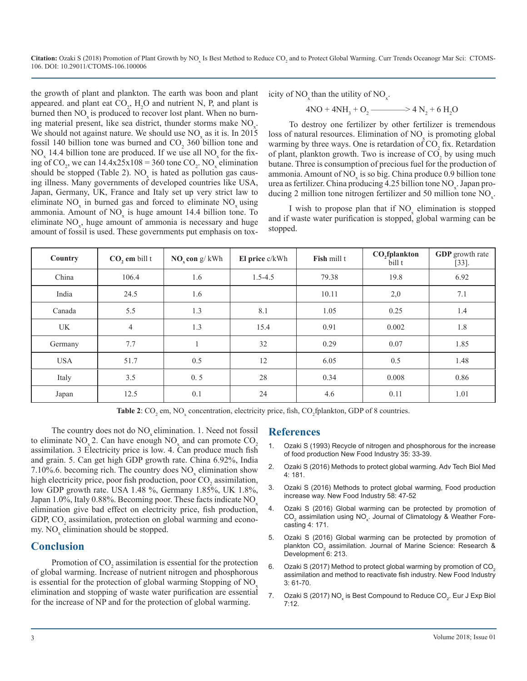Citation: Ozaki S (2018) Promotion of Plant Growth by NO<sub>x</sub> Is Best Method to Reduce CO<sub>2</sub> and to Protect Global Warming. Curr Trends Oceanogr Mar Sci: CTOMS-106. DOI: 10.29011/CTOMS-106.100006

the growth of plant and plankton. The earth was boon and plant appeared. and plant eat  $CO_2$ ,  $H_2O$  and nutrient N, P, and plant is burned then NO<sub>v</sub> is produced to recover lost plant. When no burning material present, like sea district, thunder storms make  $NO<sub>x</sub>$ . We should not against nature. We should use  $NO<sub>x</sub>$  as it is. In 2015 fossil 140 billion tone was burned and  $CO<sub>2</sub>$  360 billion tone and  $NO_{x}$  14.4 billion tone are produced. If we use all  $NO_{x}$  for the fixing of  $CO_2$ , we can 14.4x25x108 = 360 tone  $CO_2$ . NO<sub>x</sub> elimination should be stopped (Table 2).  $NO_x$  is hated as pollution gas causing illness. Many governments of developed countries like USA, Japan, Germany, UK, France and Italy set up very strict law to eliminate  $NO_x$  in burned gas and forced to eliminate  $NO_x$  using ammonia. Amount of  $NO<sub>x</sub>$  is huge amount 14.4 billion tone. To eliminate  $NO<sub>x</sub>$ , huge amount of ammonia is necessary and huge amount of fossil is used. These governments put emphasis on tox-

icity of NO<sub>x</sub> than the utility of NO<sub>x</sub>.

$$
4NO + 4NH_3 + O_2 \longrightarrow 4 N_2 + 6 H_2O
$$

To destroy one fertilizer by other fertilizer is tremendous loss of natural resources. Elimination of  $NO<sub>x</sub>$  is promoting global warming by three ways. One is retardation of  $CO<sub>2</sub>$  fix. Retardation of plant, plankton growth. Two is increase of  $CO_2$  by using much butane. Three is consumption of precious fuel for the production of ammonia. Amount of  $NO<sub>x</sub>$  is so big. China produce 0.9 billion tone urea as fertilizer. China producing  $4.25$  billion tone NO<sub>x</sub>. Japan producing 2 million tone nitrogen fertilizer and 50 million tone  $NO<sub>x</sub>$ .

I wish to propose plan that if  $NO<sub>x</sub>$  elimination is stopped and if waste water purification is stopped, global warming can be stopped.

| Country    | $CO$ , em bill t | $NO_{x}$ con g/kWh | El price c/kWh | Fish mill t | CO <sub>2</sub> fplankton<br>bill t | <b>GDP</b> growth rate<br>$[33]$ . |
|------------|------------------|--------------------|----------------|-------------|-------------------------------------|------------------------------------|
| China      | 106.4            | 1.6                | $1.5 - 4.5$    | 79.38       | 19.8                                | 6.92                               |
| India      | 24.5             | 1.6                |                | 10.11       | 2,0                                 | 7.1                                |
| Canada     | 5.5              | 1.3                | 8.1            | 1.05        | 0.25                                | 1.4                                |
| UK         | $\overline{4}$   | 1.3                | 15.4           | 0.91        | 0.002                               | 1.8                                |
| Germany    | 7.7              |                    | 32             | 0.29        | 0.07                                | 1.85                               |
| <b>USA</b> | 51.7             | 0.5                | 12             | 6.05        | 0.5                                 | 1.48                               |
| Italy      | 3.5              | 0.5                | 28             | 0.34        | 0.008                               | 0.86                               |
| Japan      | 12.5             | 0.1                | 24             | 4.6         | 0.11                                | 1.01                               |

**Table 2**:  $CO_2$  em,  $NO_x$  concentration, electricity price, fish,  $CO_2$  fplankton, GDP of 8 countries.

The country does not do NO<sub>y</sub> elimination. 1. Need not fossil to eliminate  $NO_x^2$ . Can have enough  $NO_x^2$  and can promote  $CO_2^2$ assimilation. 3 Electricity price is low. 4. Can produce much fish and grain. 5. Can get high GDP growth rate. China 6.92%, India 7.10%.6. becoming rich. The country does  $NO<sub>x</sub>$  elimination show high electricity price, poor fish production, poor  $CO_2$  assimilation, low GDP growth rate. USA 1.48 %, Germany 1.85%, UK 1.8%, Japan 1.0%, Italy  $0.88\%$ . Becoming poor. These facts indicate NO<sub>x</sub> elimination give bad effect on electricity price, fish production, GDP,  $CO<sub>2</sub>$  [assimilation, protection on global warming and econo](https://www.omicsonline.org/open-access/global-warming-can-be-protected-by-promotion-of-co2-assimilationusing-nox-2332-2594-1000171.php?aid=80180)my.  $NO<sub>x</sub>$  elimination should be stopped.

### **Conclusion**

Promotion of  $CO_2$  assimilation is essential for the protection of global warming. Increase of nutrient nitrogen and phosphorous is essential for the protection of global warming Stopping of NO<sub>x</sub> elimination and stopping of waste water purification are essential for the increase of NP and for the protection of global warming.

#### **References**

- 1. Ozaki S (1993) Recycle of nitrogen and phosphorous for the increase of food production New Food Industry 35: 33-39.
- 2. [Ozaki S \(2016\) Methods to protect global warming. Adv Tech Biol Med](https://www.esciencecentral.org/journals/methods-to-protect-global-warming-2379-1764-1000181.php?aid=74286)  4: 181.
- 3. Ozaki S (2016) Methods to protect global warming, Food production increase way. New Food Industry 58: 47-52
- 4. [Ozaki S \(2016\) Global warming can be protected by promotion of](https://www.omicsonline.org/open-access/global-warming-can-be-protected-by-promotion-of-co2-assimilationusing-nox-2332-2594-1000171.php?aid=80180)   $\text{CO}_2$  assimilation using NO<sub>x</sub>. Journal of Climatology & Weather Fore[casting](https://www.omicsonline.org/open-access/global-warming-can-be-protected-by-promotion-of-co2-assimilationusing-nox-2332-2594-1000171.php?aid=80180) 4: 171.
- 5. [Ozaki S \(2016\) Global warming can be protected by promotion of](https://www.omicsonline.org/open-access/global-warming-can-be-protected-by-promotion-of-plankton-co2assimilation-2155-9910-1000213.php?aid=82195)  plankton CO<sub>2</sub> assimilation. Journal of Marine Science: Research & [Development 6: 213.](https://www.omicsonline.org/open-access/global-warming-can-be-protected-by-promotion-of-plankton-co2assimilation-2155-9910-1000213.php?aid=82195)
- Ozaki S (2017) Method to protect global warming by promotion of CO<sub>2</sub> assimilation and method to reactivate fish industry. New Food Industry 3: 61-70.
- 7. Ozaki S (2017) NO<sub>x</sub> is Best Compound to Reduce CO<sub>2</sub>. Eur J Exp Biol [7:12.](http://www.imedpub.com/articles/nox-is-best-compound-to-reduce-co2.pdf)